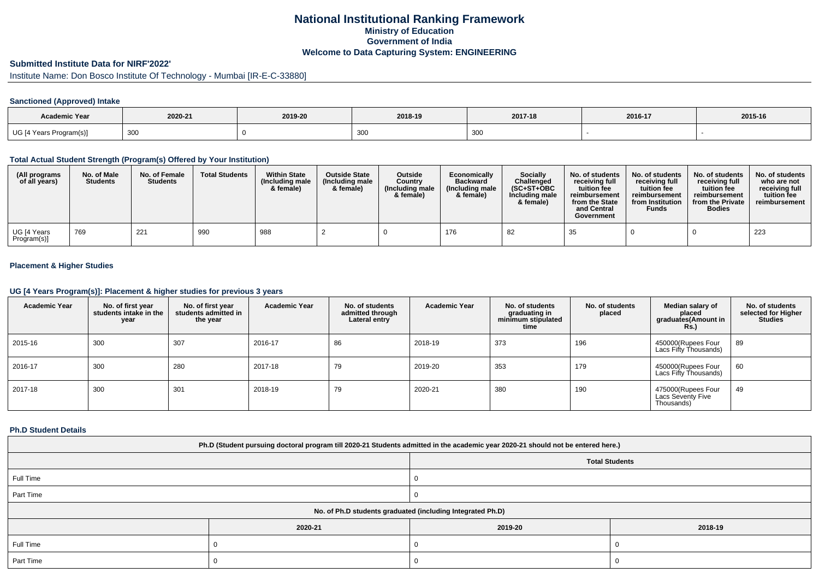# **National Institutional Ranking FrameworkMinistry of Education Government of IndiaWelcome to Data Capturing System: ENGINEERING**

# **Submitted Institute Data for NIRF'2022'**

Institute Name: Don Bosco Institute Of Technology - Mumbai [IR-E-C-33880]

### **Sanctioned (Approved) Intake**

| <b>Academic Year</b>    |         |         |         |         |         |         |
|-------------------------|---------|---------|---------|---------|---------|---------|
|                         | 2020-21 | 2019-20 | 2018-19 | 2017-18 | 2016-17 | 2015-16 |
| UG [4 Years Program(s)] | 300     |         | ັບບເ    | 300     |         |         |

#### **Total Actual Student Strength (Program(s) Offered by Your Institution)**

| (All programs<br>of all years) | No. of Male<br><b>Students</b> | No. of Female<br><b>Students</b> | <b>Total Students</b> | <b>Within State</b><br>(Including male<br>& female) | <b>Outside State</b><br>(Including male<br>& female) | <b>Outside</b><br>Country<br>(Including male<br>& female) | Economically<br><b>Backward</b><br>(Including male<br>& female) | <b>Socially</b><br>Challenged<br>$(SC+ST+OBC)$<br>Including male<br>& female) | No. of students<br>receiving full<br>tuition fee<br>reimbursement<br>from the State<br>and Central<br>Government | No. of students<br>receiving full<br>tuition fee<br>reimbursement<br>from Institution<br><b>Funds</b> | No. of students<br>receiving full<br>tuition fee<br>reimbursement<br>from the Private<br><b>Bodies</b> | No. of students<br>who are not<br>receiving full<br>tuition fee<br>reimbursement |
|--------------------------------|--------------------------------|----------------------------------|-----------------------|-----------------------------------------------------|------------------------------------------------------|-----------------------------------------------------------|-----------------------------------------------------------------|-------------------------------------------------------------------------------|------------------------------------------------------------------------------------------------------------------|-------------------------------------------------------------------------------------------------------|--------------------------------------------------------------------------------------------------------|----------------------------------------------------------------------------------|
| UG [4 Years<br>Program(s)]     | 769                            | 221                              | 990                   | 988                                                 |                                                      |                                                           | 176                                                             | 82                                                                            | 35                                                                                                               |                                                                                                       |                                                                                                        | 223                                                                              |

### **Placement & Higher Studies**

#### **UG [4 Years Program(s)]: Placement & higher studies for previous 3 years**

| <b>Academic Year</b> | No. of first year<br>students intake in the<br>year | No. of first year<br>students admitted in<br>the year | <b>Academic Year</b> | No. of students<br>admitted through<br>Lateral entry | <b>Academic Year</b> | No. of students<br>graduating in<br>minimum stipulated<br>time | No. of students<br>placed | Median salary of<br>placed<br>graduates(Amount in<br><b>Rs.)</b> | No. of students<br>selected for Higher<br><b>Studies</b> |
|----------------------|-----------------------------------------------------|-------------------------------------------------------|----------------------|------------------------------------------------------|----------------------|----------------------------------------------------------------|---------------------------|------------------------------------------------------------------|----------------------------------------------------------|
| 2015-16              | 300                                                 | 307                                                   | 2016-17              | 86                                                   | 2018-19              | 373                                                            | 196                       | 450000(Rupees Four<br>Lacs Fifty Thousands)                      | 89                                                       |
| 2016-17              | 300                                                 | 280                                                   | 2017-18              | 79                                                   | 2019-20              | 353                                                            | 179                       | 450000(Rupees Four<br>Lacs Fifty Thousands)                      | 60                                                       |
| 2017-18              | 300                                                 | 301                                                   | 2018-19              | 79                                                   | 2020-21              | 380                                                            | 190                       | 475000(Rupees Four<br>Lacs Seventy Five<br>Thousands)            | 49                                                       |

#### **Ph.D Student Details**

| Ph.D (Student pursuing doctoral program till 2020-21 Students admitted in the academic year 2020-21 should not be entered here.) |                                                            |         |         |  |  |  |  |  |
|----------------------------------------------------------------------------------------------------------------------------------|------------------------------------------------------------|---------|---------|--|--|--|--|--|
| <b>Total Students</b>                                                                                                            |                                                            |         |         |  |  |  |  |  |
| Full Time                                                                                                                        |                                                            |         |         |  |  |  |  |  |
| Part Time                                                                                                                        |                                                            |         |         |  |  |  |  |  |
|                                                                                                                                  | No. of Ph.D students graduated (including Integrated Ph.D) |         |         |  |  |  |  |  |
|                                                                                                                                  | 2020-21                                                    | 2019-20 | 2018-19 |  |  |  |  |  |
| Full Time                                                                                                                        |                                                            |         |         |  |  |  |  |  |
| Part Time                                                                                                                        |                                                            |         |         |  |  |  |  |  |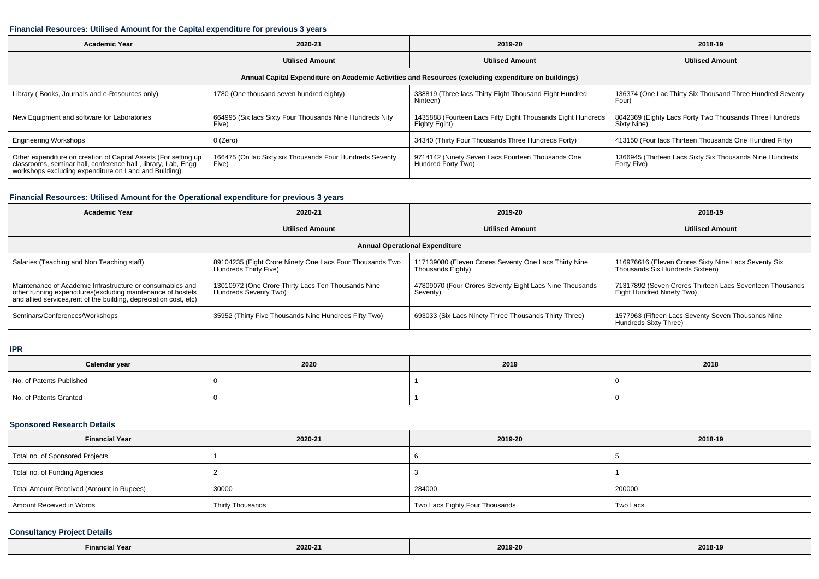### **Financial Resources: Utilised Amount for the Capital expenditure for previous 3 years**

| <b>Academic Year</b>                                                                                                                                                                      | 2020-21                                                           | 2019-20                                                                      | 2018-19                                                                 |  |  |  |  |  |
|-------------------------------------------------------------------------------------------------------------------------------------------------------------------------------------------|-------------------------------------------------------------------|------------------------------------------------------------------------------|-------------------------------------------------------------------------|--|--|--|--|--|
|                                                                                                                                                                                           | <b>Utilised Amount</b>                                            | <b>Utilised Amount</b>                                                       | <b>Utilised Amount</b>                                                  |  |  |  |  |  |
| Annual Capital Expenditure on Academic Activities and Resources (excluding expenditure on buildings)                                                                                      |                                                                   |                                                                              |                                                                         |  |  |  |  |  |
| Library (Books, Journals and e-Resources only)                                                                                                                                            | 1780 (One thousand seven hundred eighty)                          | 338819 (Three lacs Thirty Eight Thousand Eight Hundred<br>Ninteen)           | 136374 (One Lac Thirty Six Thousand Three Hundred Seventy<br>Four)      |  |  |  |  |  |
| New Equipment and software for Laboratories                                                                                                                                               | 664995 (Six lacs Sixty Four Thousands Nine Hundreds Nity<br>Five) | 1435888 (Fourteen Lacs Fifty Eight Thousands Eight Hundreds<br>Eighty Egiht) | 8042369 (Eighty Lacs Forty Two Thousands Three Hundreds<br>Sixty Nine)  |  |  |  |  |  |
| <b>Engineering Workshops</b>                                                                                                                                                              | 0 (Zero)                                                          | 34340 (Thirty Four Thousands Three Hundreds Forty)                           | 413150 (Four lacs Thirteen Thousands One Hundred Fifty)                 |  |  |  |  |  |
| Other expenditure on creation of Capital Assets (For setting up<br>classrooms, seminar hall, conference hall, library, Lab, Engg<br>workshops excluding expenditure on Land and Building) | 166475 (On lac Sixty six Thousands Four Hundreds Seventy<br>Five) | 9714142 (Ninety Seven Lacs Fourteen Thousands One<br>Hundred Forty Two)      | 1366945 (Thirteen Lacs Sixty Six Thousands Nine Hundreds<br>Forty Five) |  |  |  |  |  |

### **Financial Resources: Utilised Amount for the Operational expenditure for previous 3 years**

| Academic Year                                                                                                                                                                                  | 2020-21                                                                           | 2019-20                                                                    | 2018-19                                                                                 |  |  |  |  |  |
|------------------------------------------------------------------------------------------------------------------------------------------------------------------------------------------------|-----------------------------------------------------------------------------------|----------------------------------------------------------------------------|-----------------------------------------------------------------------------------------|--|--|--|--|--|
|                                                                                                                                                                                                | <b>Utilised Amount</b>                                                            | <b>Utilised Amount</b>                                                     | <b>Utilised Amount</b>                                                                  |  |  |  |  |  |
| <b>Annual Operational Expenditure</b>                                                                                                                                                          |                                                                                   |                                                                            |                                                                                         |  |  |  |  |  |
| Salaries (Teaching and Non Teaching staff)                                                                                                                                                     | 89104235 (Eight Crore Ninety One Lacs Four Thousands Two<br>Hundreds Thirty Five) | 117139080 (Eleven Crores Seventy One Lacs Thirty Nine<br>Thousands Eighty) | 116976616 (Eleven Crores Sixty Nine Lacs Seventy Six<br>Thousands Six Hundreds Sixteen) |  |  |  |  |  |
| Maintenance of Academic Infrastructure or consumables and<br>other running expenditures(excluding maintenance of hostels<br>and allied services, rent of the building, depreciation cost, etc) | 13010972 (One Crore Thirty Lacs Ten Thousands Nine<br>Hundreds Seventy Two)       | 47809070 (Four Crores Seventy Eight Lacs Nine Thousands<br>Seventy)        | 71317892 (Seven Crores Thirteen Lacs Seventeen Thousands<br>Eight Hundred Ninety Two)   |  |  |  |  |  |
| Seminars/Conferences/Workshops                                                                                                                                                                 | 35952 (Thirty Five Thousands Nine Hundreds Fifty Two)                             | 693033 (Six Lacs Ninety Three Thousands Thirty Three)                      | 1577963 (Fifteen Lacs Seventy Seven Thousands Nine<br>Hundreds Sixty Three)             |  |  |  |  |  |

**IPR**

| Calendar year            | 2020 | 2019 | 2018 |
|--------------------------|------|------|------|
| No. of Patents Published |      |      |      |
| No. of Patents Granted   |      |      |      |

# **Sponsored Research Details**

| <b>Financial Year</b>                    | 2020-21          | 2019-20                        | 2018-19  |
|------------------------------------------|------------------|--------------------------------|----------|
| Total no. of Sponsored Projects          |                  |                                |          |
| Total no. of Funding Agencies            |                  |                                |          |
| Total Amount Received (Amount in Rupees) | 30000            | 284000                         | 200000   |
| Amount Received in Words                 | Thirty Thousands | Two Lacs Eighty Four Thousands | Two Lacs |

# **Consultancy Project Details**

| inancis | 2020-21 | 2019-20 | 2018-19 |
|---------|---------|---------|---------|
|---------|---------|---------|---------|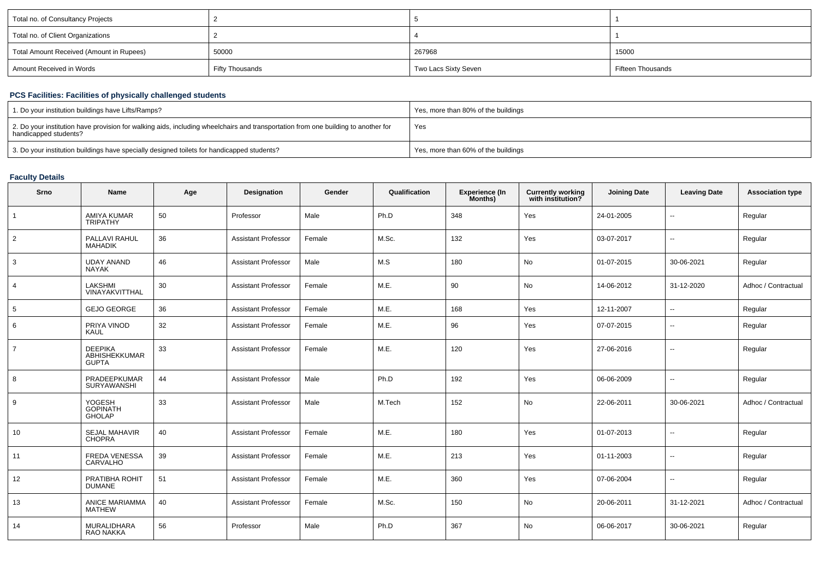| Total no. of Consultancy Projects        |                 |                      |                   |
|------------------------------------------|-----------------|----------------------|-------------------|
| Total no. of Client Organizations        |                 |                      |                   |
| Total Amount Received (Amount in Rupees) | 50000           | 267968               | 15000             |
| Amount Received in Words                 | Fifty Thousands | Two Lacs Sixty Seven | Fifteen Thousands |

### **PCS Facilities: Facilities of physically challenged students**

| 1. Do your institution buildings have Lifts/Ramps?                                                                                                         | Yes, more than 80% of the buildings |
|------------------------------------------------------------------------------------------------------------------------------------------------------------|-------------------------------------|
| 2. Do your institution have provision for walking aids, including wheelchairs and transportation from one building to another for<br>handicapped students? | Yes                                 |
| 3. Do your institution buildings have specially designed toilets for handicapped students?                                                                 | Yes, more than 60% of the buildings |

#### **Faculty Details**

| Srno           | <b>Name</b>                                     | Age | Designation                | Gender | Qualification | Experience (In<br>Months) | <b>Currently working</b><br>with institution? | <b>Joining Date</b> | <b>Leaving Date</b>      | <b>Association type</b> |
|----------------|-------------------------------------------------|-----|----------------------------|--------|---------------|---------------------------|-----------------------------------------------|---------------------|--------------------------|-------------------------|
|                | AMIYA KUMAR<br><b>TRIPATHY</b>                  | 50  | Professor                  | Male   | Ph.D          | 348                       | Yes                                           | 24-01-2005          |                          | Regular                 |
| $\overline{2}$ | PALLAVI RAHUL<br><b>MAHADIK</b>                 | 36  | <b>Assistant Professor</b> | Female | M.Sc.         | 132                       | Yes                                           | 03-07-2017          | н.                       | Regular                 |
| 3              | <b>UDAY ANAND</b><br><b>NAYAK</b>               | 46  | <b>Assistant Professor</b> | Male   | M.S           | 180                       | No                                            | 01-07-2015          | 30-06-2021               | Regular                 |
| $\overline{4}$ | LAKSHMI<br>VINAYAKVITTHAL                       | 30  | <b>Assistant Professor</b> | Female | M.E.          | 90                        | No                                            | 14-06-2012          | 31-12-2020               | Adhoc / Contractual     |
| 5              | <b>GEJO GEORGE</b>                              | 36  | <b>Assistant Professor</b> | Female | M.E.          | 168                       | Yes                                           | 12-11-2007          | $\sim$                   | Regular                 |
| 6              | PRIYA VINOD<br><b>KAUL</b>                      | 32  | Assistant Professor        | Female | M.E.          | 96                        | Yes                                           | 07-07-2015          | н.                       | Regular                 |
| $\overline{7}$ | <b>DEEPIKA</b><br>ABHISHEKKUMAR<br><b>GUPTA</b> | 33  | <b>Assistant Professor</b> | Female | M.E.          | 120                       | Yes                                           | 27-06-2016          | $\overline{a}$           | Regular                 |
| 8              | PRADEEPKUMAR<br><b>SURYAWANSHI</b>              | 44  | <b>Assistant Professor</b> | Male   | Ph.D          | 192                       | Yes                                           | 06-06-2009          | $\overline{\phantom{a}}$ | Regular                 |
| 9              | YOGESH<br>GOPINATH<br><b>GHOLAP</b>             | 33  | <b>Assistant Professor</b> | Male   | M.Tech        | 152                       | No                                            | 22-06-2011          | 30-06-2021               | Adhoc / Contractual     |
| 10             | <b>SEJAL MAHAVIR</b><br>CHOPRA                  | 40  | <b>Assistant Professor</b> | Female | M.E.          | 180                       | Yes                                           | 01-07-2013          | $\overline{\phantom{a}}$ | Regular                 |
| 11             | FREDA VENESSA<br>CARVALHO                       | 39  | <b>Assistant Professor</b> | Female | M.E.          | 213                       | Yes                                           | 01-11-2003          | $\overline{\phantom{a}}$ | Regular                 |
| 12             | PRATIBHA ROHIT<br><b>DUMANE</b>                 | 51  | <b>Assistant Professor</b> | Female | M.E.          | 360                       | Yes                                           | 07-06-2004          | н.                       | Regular                 |
| 13             | ANICE MARIAMMA<br><b>MATHEW</b>                 | 40  | <b>Assistant Professor</b> | Female | M.Sc.         | 150                       | No                                            | 20-06-2011          | 31-12-2021               | Adhoc / Contractual     |
| 14             | MURALIDHARA<br>RAO NAKKA                        | 56  | Professor                  | Male   | Ph.D          | 367                       | No                                            | 06-06-2017          | 30-06-2021               | Regular                 |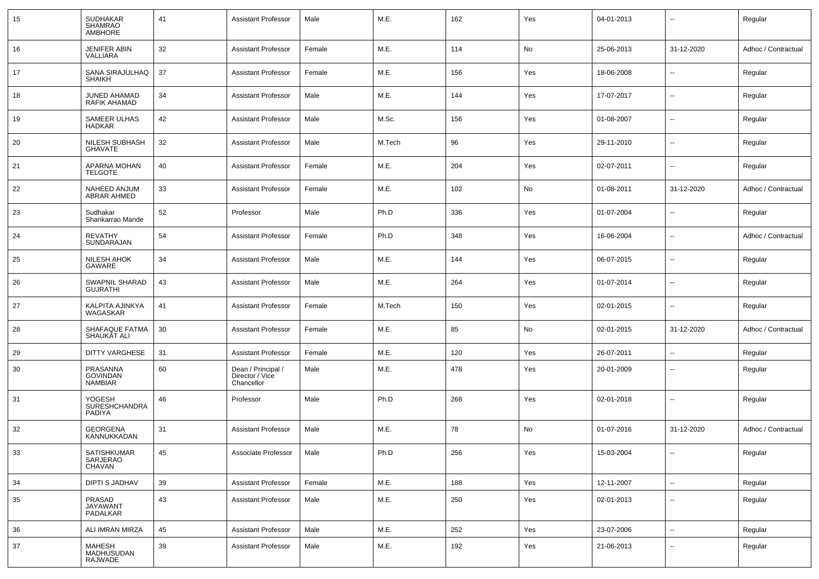| 15 | <b>SUDHAKAR</b><br><b>SHAMRAO</b><br><b>AMBHORE</b> | 41 | <b>Assistant Professor</b>                          | Male   | M.E.   | 162 | Yes | 04-01-2013 | --                       | Regular             |
|----|-----------------------------------------------------|----|-----------------------------------------------------|--------|--------|-----|-----|------------|--------------------------|---------------------|
| 16 | <b>JENIFER ABIN</b><br>VALLIARA                     | 32 | <b>Assistant Professor</b>                          | Female | M.E.   | 114 | No  | 25-06-2013 | 31-12-2020               | Adhoc / Contractual |
| 17 | SANA SIRAJULHAQ<br><b>SHAIKH</b>                    | 37 | <b>Assistant Professor</b>                          | Female | M.E.   | 156 | Yes | 18-06-2008 | $\overline{\phantom{a}}$ | Regular             |
| 18 | JUNED AHAMAD<br><b>RAFIK AHAMAD</b>                 | 34 | <b>Assistant Professor</b>                          | Male   | M.E.   | 144 | Yes | 17-07-2017 | $\overline{\phantom{a}}$ | Regular             |
| 19 | <b>SAMEER ULHAS</b><br><b>HADKAR</b>                | 42 | <b>Assistant Professor</b>                          | Male   | M.Sc.  | 156 | Yes | 01-08-2007 | Ξ.                       | Regular             |
| 20 | NILESH SUBHASH<br><b>GHAVATE</b>                    | 32 | <b>Assistant Professor</b>                          | Male   | M.Tech | 96  | Yes | 29-11-2010 | $\overline{\phantom{a}}$ | Regular             |
| 21 | APARNA MOHAN<br><b>TELGOTE</b>                      | 40 | <b>Assistant Professor</b>                          | Female | M.E.   | 204 | Yes | 02-07-2011 | $\overline{\phantom{a}}$ | Regular             |
| 22 | NAHEED ANJUM<br>ABRAR AHMED                         | 33 | <b>Assistant Professor</b>                          | Female | M.E.   | 102 | No  | 01-08-2011 | 31-12-2020               | Adhoc / Contractual |
| 23 | Sudhakar<br>Shankarrao Mande                        | 52 | Professor                                           | Male   | Ph.D   | 336 | Yes | 01-07-2004 | $\overline{\phantom{a}}$ | Regular             |
| 24 | <b>REVATHY</b><br>SUNDARAJAN                        | 54 | <b>Assistant Professor</b>                          | Female | Ph.D   | 348 | Yes | 16-06-2004 | $\overline{\phantom{a}}$ | Adhoc / Contractual |
| 25 | <b>NILESH AHOK</b><br>GAWARE                        | 34 | <b>Assistant Professor</b>                          | Male   | M.E.   | 144 | Yes | 06-07-2015 | $\overline{\phantom{a}}$ | Regular             |
| 26 | SWAPNIL SHARAD<br><b>GUJRATHI</b>                   | 43 | <b>Assistant Professor</b>                          | Male   | M.E.   | 264 | Yes | 01-07-2014 | $\overline{\phantom{a}}$ | Regular             |
| 27 | KALPITA AJINKYA<br>WAGASKAR                         | 41 | <b>Assistant Professor</b>                          | Female | M.Tech | 150 | Yes | 02-01-2015 | $\overline{\phantom{a}}$ | Regular             |
| 28 | SHAFAQUE FATMA<br>SHAUKAT ALI                       | 30 | <b>Assistant Professor</b>                          | Female | M.E.   | 85  | No  | 02-01-2015 | 31-12-2020               | Adhoc / Contractual |
| 29 | <b>DITTY VARGHESE</b>                               | 31 | <b>Assistant Professor</b>                          | Female | M.E.   | 120 | Yes | 26-07-2011 | Ξ.                       | Regular             |
| 30 | PRASANNA<br><b>GOVINDAN</b><br><b>NAMBIAR</b>       | 60 | Dean / Principal /<br>Director / Vice<br>Chancellor | Male   | M.E.   | 478 | Yes | 20-01-2009 | $\overline{\phantom{a}}$ | Regular             |
| 31 | YOGESH<br><b>SURESHCHANDRA</b><br>PADIYA            | 46 | Professor                                           | Male   | Ph.D   | 268 | Yes | 02-01-2018 | Ξ.                       | Regular             |
| 32 | <b>GEORGENA</b><br>KANNUKKADAN                      | 31 | <b>Assistant Professor</b>                          | Male   | M.E.   | 78  | No  | 01-07-2016 | 31-12-2020               | Adhoc / Contractual |
| 33 | SATISHKUMAR<br>SARJERAO<br>CHAVAN                   | 45 | Associate Professor                                 | Male   | Ph.D   | 256 | Yes | 15-03-2004 | Ξ.                       | Regular             |
| 34 | <b>DIPTI S JADHAV</b>                               | 39 | <b>Assistant Professor</b>                          | Female | M.E.   | 188 | Yes | 12-11-2007 | $\sim$                   | Regular             |
| 35 | PRASAD<br><b>JAYAWANT</b><br>PADALKAR               | 43 | <b>Assistant Professor</b>                          | Male   | M.E.   | 250 | Yes | 02-01-2013 | $\overline{\phantom{a}}$ | Regular             |
| 36 | ALI IMRAN MIRZA                                     | 45 | <b>Assistant Professor</b>                          | Male   | M.E.   | 252 | Yes | 23-07-2006 | Щ,                       | Regular             |
| 37 | MAHESH<br>MADHUSUDAN<br>RAJWADE                     | 39 | <b>Assistant Professor</b>                          | Male   | M.E.   | 192 | Yes | 21-06-2013 | $\overline{\phantom{a}}$ | Regular             |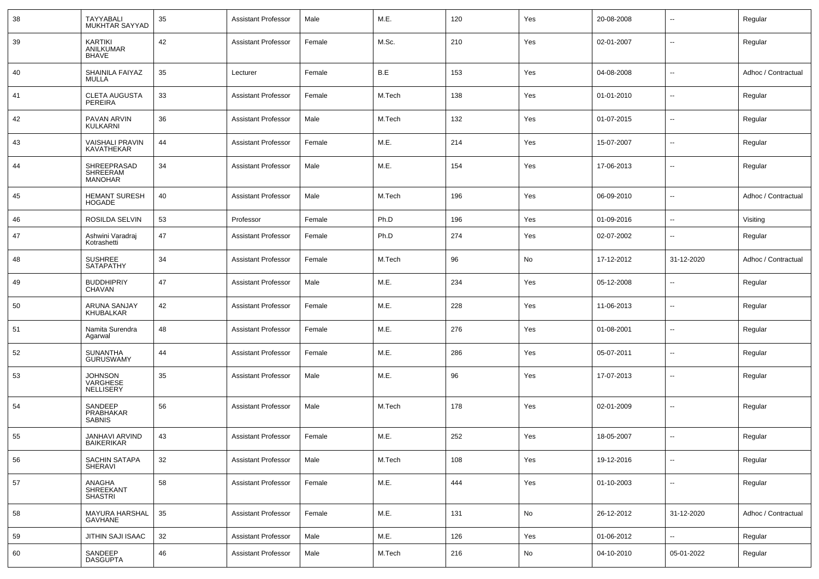| 38 | TAYYABALI<br>MUKHTAR SAYYAD                 | 35 | <b>Assistant Professor</b> | Male   | M.E.   | 120 | Yes | 20-08-2008 | $\overline{\phantom{a}}$ | Regular             |
|----|---------------------------------------------|----|----------------------------|--------|--------|-----|-----|------------|--------------------------|---------------------|
| 39 | KARTIKI<br>ANILKUMAR<br>BHAVE               | 42 | <b>Assistant Professor</b> | Female | M.Sc.  | 210 | Yes | 02-01-2007 | $\overline{\phantom{a}}$ | Regular             |
| 40 | SHAINILA FAIYAZ<br>MULLA                    | 35 | Lecturer                   | Female | B.E    | 153 | Yes | 04-08-2008 | $\overline{\phantom{a}}$ | Adhoc / Contractual |
| 41 | <b>CLETA AUGUSTA</b><br>PEREIRA             | 33 | <b>Assistant Professor</b> | Female | M.Tech | 138 | Yes | 01-01-2010 | $\overline{\phantom{a}}$ | Regular             |
| 42 | PAVAN ARVIN<br><b>KULKARNI</b>              | 36 | <b>Assistant Professor</b> | Male   | M.Tech | 132 | Yes | 01-07-2015 | $\overline{\phantom{a}}$ | Regular             |
| 43 | <b>VAISHALI PRAVIN</b><br><b>KAVATHEKAR</b> | 44 | <b>Assistant Professor</b> | Female | M.E.   | 214 | Yes | 15-07-2007 | --                       | Regular             |
| 44 | SHREEPRASAD<br>SHREERAM<br><b>MANOHAR</b>   | 34 | <b>Assistant Professor</b> | Male   | M.E.   | 154 | Yes | 17-06-2013 | $\overline{\phantom{a}}$ | Regular             |
| 45 | <b>HEMANT SURESH</b><br><b>HOGADE</b>       | 40 | <b>Assistant Professor</b> | Male   | M.Tech | 196 | Yes | 06-09-2010 | $\overline{\phantom{a}}$ | Adhoc / Contractual |
| 46 | ROSILDA SELVIN                              | 53 | Professor                  | Female | Ph.D   | 196 | Yes | 01-09-2016 | $\overline{\phantom{a}}$ | Visiting            |
| 47 | Ashwini Varadraj<br>Kotrashetti             | 47 | <b>Assistant Professor</b> | Female | Ph.D   | 274 | Yes | 02-07-2002 | $\overline{\phantom{a}}$ | Regular             |
| 48 | <b>SUSHREE</b><br>SATAPATHY                 | 34 | <b>Assistant Professor</b> | Female | M.Tech | 96  | No  | 17-12-2012 | 31-12-2020               | Adhoc / Contractual |
| 49 | <b>BUDDHIPRIY</b><br>CHAVAN                 | 47 | <b>Assistant Professor</b> | Male   | M.E.   | 234 | Yes | 05-12-2008 | $\overline{\phantom{a}}$ | Regular             |
| 50 | ARUNA SANJAY<br>KHUBALKAR                   | 42 | <b>Assistant Professor</b> | Female | M.E.   | 228 | Yes | 11-06-2013 | $\overline{\phantom{a}}$ | Regular             |
| 51 | Namita Surendra<br>Agarwal                  | 48 | <b>Assistant Professor</b> | Female | M.E.   | 276 | Yes | 01-08-2001 | $\overline{\phantom{a}}$ | Regular             |
| 52 | <b>SUNANTHA</b><br><b>GURUSWAMY</b>         | 44 | <b>Assistant Professor</b> | Female | M.E.   | 286 | Yes | 05-07-2011 | $\overline{\phantom{a}}$ | Regular             |
| 53 | <b>JOHNSON</b><br>VARGHESE<br>NELLISERY     | 35 | <b>Assistant Professor</b> | Male   | M.E.   | 96  | Yes | 17-07-2013 | $\overline{\phantom{a}}$ | Regular             |
| 54 | SANDEEP<br>PRABHAKAR<br><b>SABNIS</b>       | 56 | <b>Assistant Professor</b> | Male   | M.Tech | 178 | Yes | 02-01-2009 | --                       | Regular             |
| 55 | JANHAVI ARVIND<br><b>BAIKERIKAR</b>         | 43 | <b>Assistant Professor</b> | Female | M.E.   | 252 | Yes | 18-05-2007 | --                       | Regular             |
| 56 | SACHIN SATAPA<br><b>SHERAVI</b>             | 32 | <b>Assistant Professor</b> | Male   | M.Tech | 108 | Yes | 19-12-2016 | $\overline{\phantom{a}}$ | Regular             |
| 57 | ANAGHA<br>SHREEKANT<br><b>SHASTRI</b>       | 58 | <b>Assistant Professor</b> | Female | M.E.   | 444 | Yes | 01-10-2003 | $\overline{\phantom{a}}$ | Regular             |
| 58 | MAYURA HARSHAL<br>GAVHANE                   | 35 | <b>Assistant Professor</b> | Female | M.E.   | 131 | No  | 26-12-2012 | 31-12-2020               | Adhoc / Contractual |
| 59 | JITHIN SAJI ISAAC                           | 32 | <b>Assistant Professor</b> | Male   | M.E.   | 126 | Yes | 01-06-2012 | -−                       | Regular             |
| 60 | SANDEEP<br><b>DASGUPTA</b>                  | 46 | <b>Assistant Professor</b> | Male   | M.Tech | 216 | No  | 04-10-2010 | 05-01-2022               | Regular             |